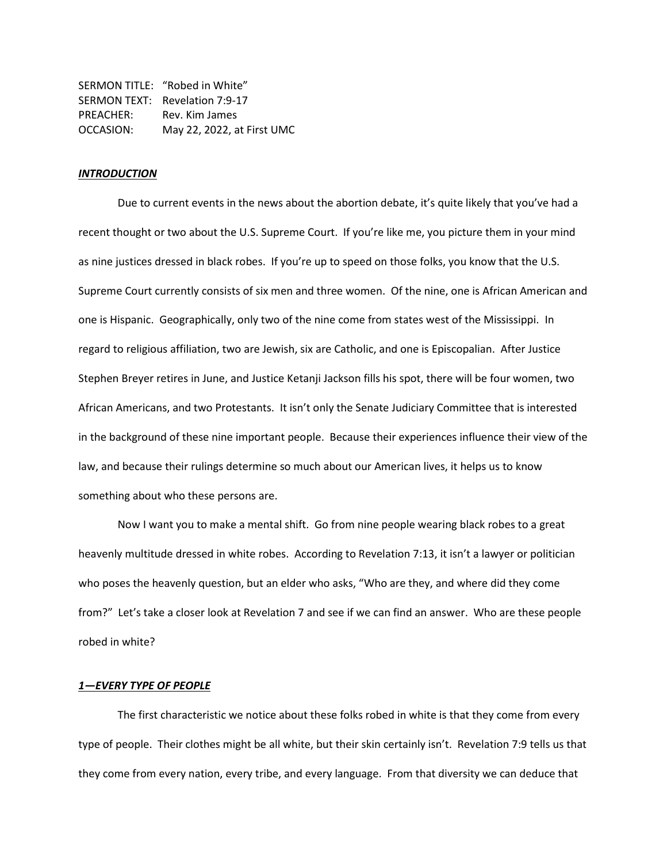|           | SERMON TITLE: "Robed in White" |
|-----------|--------------------------------|
|           | SERMON TEXT: Revelation 7:9-17 |
| PREACHER: | Rev. Kim James                 |
| OCCASION: | May 22, 2022, at First UMC     |

## *INTRODUCTION*

Due to current events in the news about the abortion debate, it's quite likely that you've had a recent thought or two about the U.S. Supreme Court. If you're like me, you picture them in your mind as nine justices dressed in black robes. If you're up to speed on those folks, you know that the U.S. Supreme Court currently consists of six men and three women. Of the nine, one is African American and one is Hispanic. Geographically, only two of the nine come from states west of the Mississippi. In regard to religious affiliation, two are Jewish, six are Catholic, and one is Episcopalian. After Justice Stephen Breyer retires in June, and Justice Ketanji Jackson fills his spot, there will be four women, two African Americans, and two Protestants. It isn't only the Senate Judiciary Committee that is interested in the background of these nine important people. Because their experiences influence their view of the law, and because their rulings determine so much about our American lives, it helps us to know something about who these persons are.

Now I want you to make a mental shift. Go from nine people wearing black robes to a great heavenly multitude dressed in white robes. According to Revelation 7:13, it isn't a lawyer or politician who poses the heavenly question, but an elder who asks, "Who are they, and where did they come from?" Let's take a closer look at Revelation 7 and see if we can find an answer. Who are these people robed in white?

### *1—EVERY TYPE OF PEOPLE*

The first characteristic we notice about these folks robed in white is that they come from every type of people. Their clothes might be all white, but their skin certainly isn't. Revelation 7:9 tells us that they come from every nation, every tribe, and every language. From that diversity we can deduce that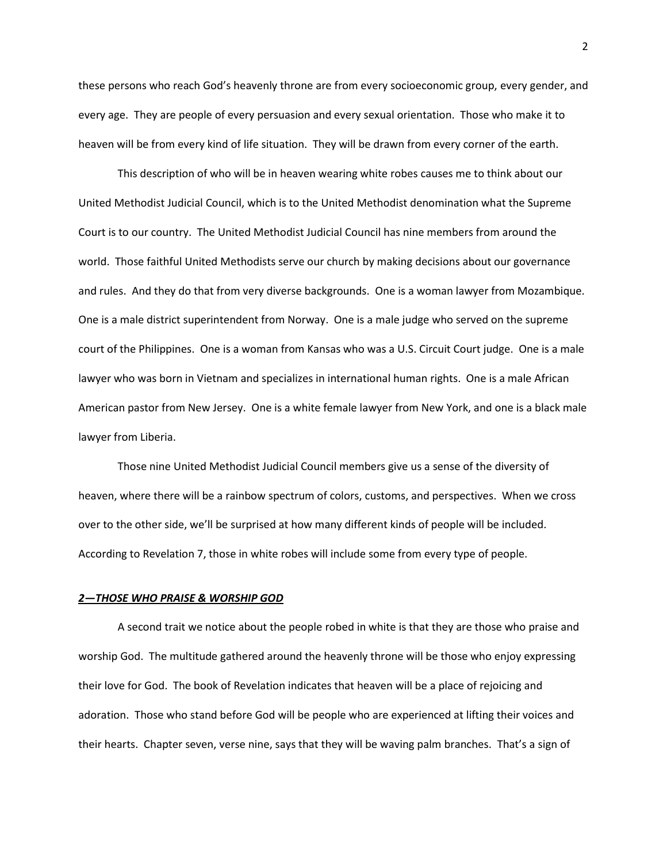these persons who reach God's heavenly throne are from every socioeconomic group, every gender, and every age. They are people of every persuasion and every sexual orientation. Those who make it to heaven will be from every kind of life situation. They will be drawn from every corner of the earth.

This description of who will be in heaven wearing white robes causes me to think about our United Methodist Judicial Council, which is to the United Methodist denomination what the Supreme Court is to our country. The United Methodist Judicial Council has nine members from around the world. Those faithful United Methodists serve our church by making decisions about our governance and rules. And they do that from very diverse backgrounds. One is a woman lawyer from Mozambique. One is a male district superintendent from Norway. One is a male judge who served on the supreme court of the Philippines. One is a woman from Kansas who was a U.S. Circuit Court judge. One is a male lawyer who was born in Vietnam and specializes in international human rights. One is a male African American pastor from New Jersey. One is a white female lawyer from New York, and one is a black male lawyer from Liberia.

Those nine United Methodist Judicial Council members give us a sense of the diversity of heaven, where there will be a rainbow spectrum of colors, customs, and perspectives. When we cross over to the other side, we'll be surprised at how many different kinds of people will be included. According to Revelation 7, those in white robes will include some from every type of people.

#### *2—THOSE WHO PRAISE & WORSHIP GOD*

A second trait we notice about the people robed in white is that they are those who praise and worship God. The multitude gathered around the heavenly throne will be those who enjoy expressing their love for God. The book of Revelation indicates that heaven will be a place of rejoicing and adoration. Those who stand before God will be people who are experienced at lifting their voices and their hearts. Chapter seven, verse nine, says that they will be waving palm branches. That's a sign of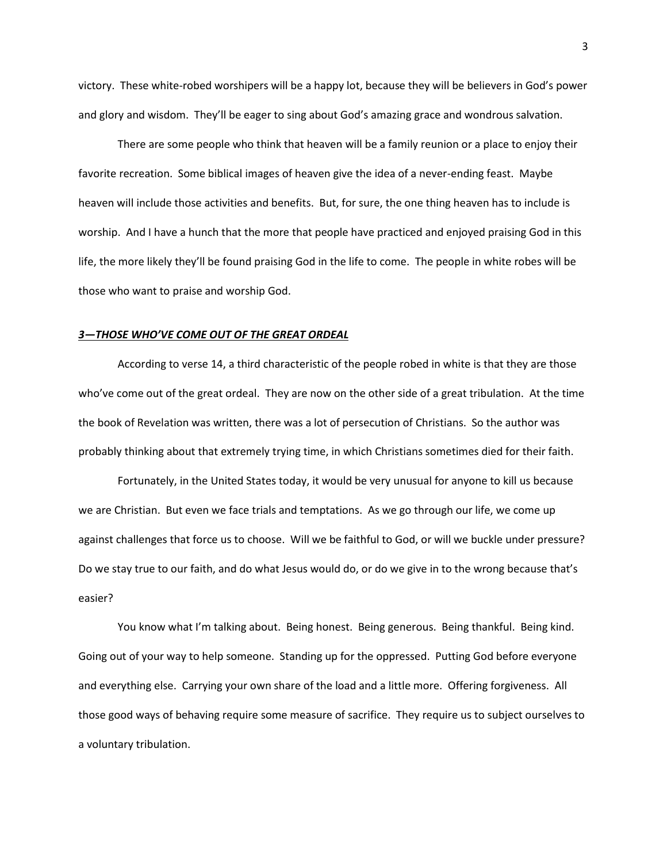victory. These white-robed worshipers will be a happy lot, because they will be believers in God's power and glory and wisdom. They'll be eager to sing about God's amazing grace and wondrous salvation.

There are some people who think that heaven will be a family reunion or a place to enjoy their favorite recreation. Some biblical images of heaven give the idea of a never-ending feast. Maybe heaven will include those activities and benefits. But, for sure, the one thing heaven has to include is worship. And I have a hunch that the more that people have practiced and enjoyed praising God in this life, the more likely they'll be found praising God in the life to come. The people in white robes will be those who want to praise and worship God.

### *3—THOSE WHO'VE COME OUT OF THE GREAT ORDEAL*

According to verse 14, a third characteristic of the people robed in white is that they are those who've come out of the great ordeal. They are now on the other side of a great tribulation. At the time the book of Revelation was written, there was a lot of persecution of Christians. So the author was probably thinking about that extremely trying time, in which Christians sometimes died for their faith.

Fortunately, in the United States today, it would be very unusual for anyone to kill us because we are Christian. But even we face trials and temptations. As we go through our life, we come up against challenges that force us to choose. Will we be faithful to God, or will we buckle under pressure? Do we stay true to our faith, and do what Jesus would do, or do we give in to the wrong because that's easier?

You know what I'm talking about. Being honest. Being generous. Being thankful. Being kind. Going out of your way to help someone. Standing up for the oppressed. Putting God before everyone and everything else. Carrying your own share of the load and a little more. Offering forgiveness. All those good ways of behaving require some measure of sacrifice. They require us to subject ourselves to a voluntary tribulation.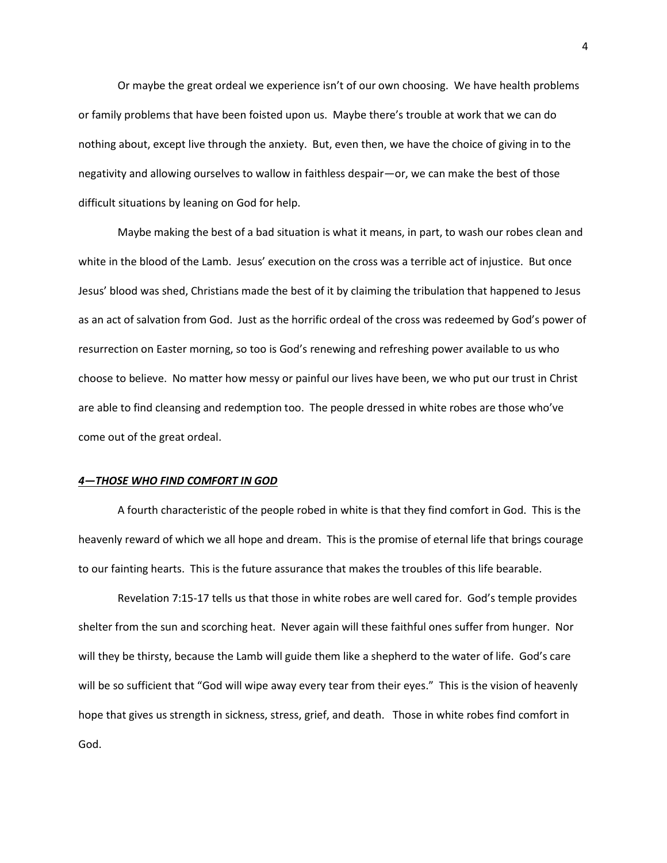Or maybe the great ordeal we experience isn't of our own choosing. We have health problems or family problems that have been foisted upon us. Maybe there's trouble at work that we can do nothing about, except live through the anxiety. But, even then, we have the choice of giving in to the negativity and allowing ourselves to wallow in faithless despair—or, we can make the best of those difficult situations by leaning on God for help.

Maybe making the best of a bad situation is what it means, in part, to wash our robes clean and white in the blood of the Lamb. Jesus' execution on the cross was a terrible act of injustice. But once Jesus' blood was shed, Christians made the best of it by claiming the tribulation that happened to Jesus as an act of salvation from God. Just as the horrific ordeal of the cross was redeemed by God's power of resurrection on Easter morning, so too is God's renewing and refreshing power available to us who choose to believe. No matter how messy or painful our lives have been, we who put our trust in Christ are able to find cleansing and redemption too. The people dressed in white robes are those who've come out of the great ordeal.

# *4—THOSE WHO FIND COMFORT IN GOD*

A fourth characteristic of the people robed in white is that they find comfort in God. This is the heavenly reward of which we all hope and dream. This is the promise of eternal life that brings courage to our fainting hearts. This is the future assurance that makes the troubles of this life bearable.

Revelation 7:15-17 tells us that those in white robes are well cared for. God's temple provides shelter from the sun and scorching heat. Never again will these faithful ones suffer from hunger. Nor will they be thirsty, because the Lamb will guide them like a shepherd to the water of life. God's care will be so sufficient that "God will wipe away every tear from their eyes." This is the vision of heavenly hope that gives us strength in sickness, stress, grief, and death. Those in white robes find comfort in God.